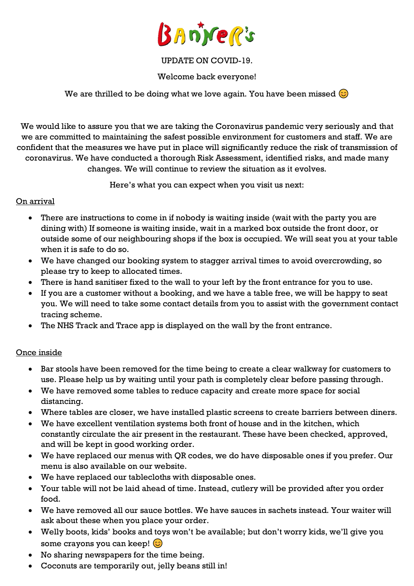

### UPDATE ON COVID-19.

Welcome back everyone!

We are thrilled to be doing what we love again. You have been missed  $\circledcirc$ 

We would like to assure you that we are taking the Coronavirus pandemic very seriously and that we are committed to maintaining the safest possible environment for customers and staff. We are confident that the measures we have put in place will significantly reduce the risk of transmission of coronavirus. We have conducted a thorough Risk Assessment, identified risks, and made many changes. We will continue to review the situation as it evolves.

Here's what you can expect when you visit us next:

#### On arrival

- There are instructions to come in if nobody is waiting inside (wait with the party you are dining with) If someone is waiting inside, wait in a marked box outside the front door, or outside some of our neighbouring shops if the box is occupied. We will seat you at your table when it is safe to do so.
- We have changed our booking system to stagger arrival times to avoid overcrowding, so please try to keep to allocated times.
- There is hand sanitiser fixed to the wall to your left by the front entrance for you to use.
- If you are a customer without a booking, and we have a table free, we will be happy to seat you. We will need to take some contact details from you to assist with the government contact tracing scheme.
- The NHS Track and Trace app is displayed on the wall by the front entrance.

### Once inside

- Bar stools have been removed for the time being to create a clear walkway for customers to use. Please help us by waiting until your path is completely clear before passing through.
- We have removed some tables to reduce capacity and create more space for social distancing.
- Where tables are closer, we have installed plastic screens to create barriers between diners.
- We have excellent ventilation systems both front of house and in the kitchen, which constantly circulate the air present in the restaurant. These have been checked, approved, and will be kept in good working order.
- We have replaced our menus with QR codes, we do have disposable ones if you prefer. Our menu is also available on our website.
- We have replaced our tablecloths with disposable ones.
- Your table will not be laid ahead of time. Instead, cutlery will be provided after you order food.
- We have removed all our sauce bottles. We have sauces in sachets instead. Your waiter will ask about these when you place your order.
- Welly boots, kids' books and toys won't be available; but don't worry kids, we'll give you some crayons you can keep!  $\odot$
- No sharing newspapers for the time being.
- Coconuts are temporarily out, jelly beans still in!